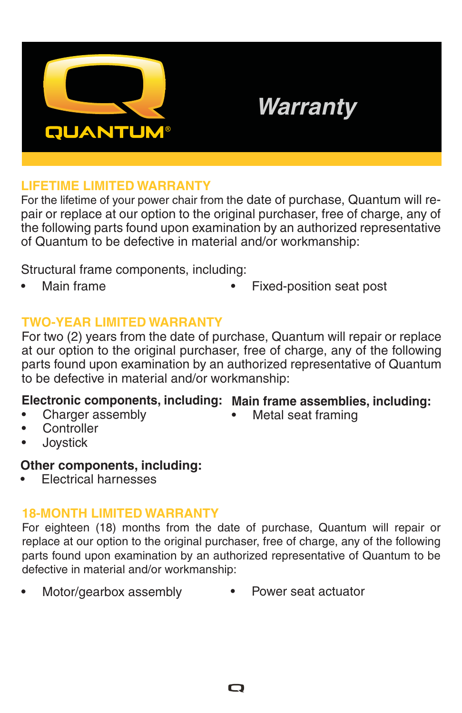

# *Warranty*

## **LIFETIME LIMITED WARRANTY**

For the lifetime of your power chair from the date of purchase, Quantum will repair or replace at our option to the original purchaser, free of charge, any of the following parts found upon examination by an authorized representative of Quantum to be defective in material and/or workmanship:

Structural frame components, including:

- 
- Main frame Fixed-position seat post

# **TWO-YEAR LIMITED WARRANTY**

For two (2) years from the date of purchase, Quantum will repair or replace at our option to the original purchaser, free of charge, any of the following parts found upon examination by an authorized representative of Quantum to be defective in material and/or workmanship:

# **Electronic components, including: Main frame assemblies, including:**

• Charger assembly

• Metal seat framing

- Controller
- Joystick

# **Other components, including:**

• Electrical harnesses

# **18-MONTH LIMITED WARRANTY**

For eighteen (18) months from the date of purchase, Quantum will repair or replace at our option to the original purchaser, free of charge, any of the following parts found upon examination by an authorized representative of Quantum to be defective in material and/or workmanship:

• Motor/gearbox assembly • Power seat actuator

O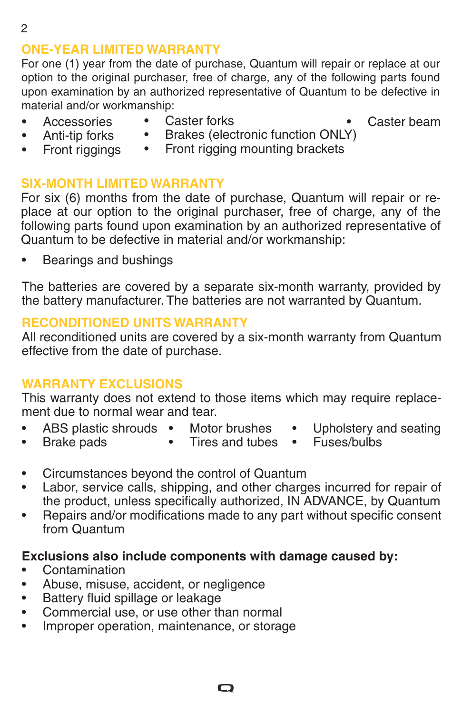# **ONE-YEAR LIMITED WARRANTY**

For one (1) year from the date of purchase, Quantum will repair or replace at our option to the original purchaser, free of charge, any of the following parts found upon examination by an authorized representative of Quantum to be defective in material and/or workmanship:

- **Accessories**
- Caster forks

Caster beam

- Anti-tip forks • Front riggings
- Brakes (electronic function ONLY) • Front rigging mounting brackets

#### **SIX-MONTH LIMITED WARRANTY**

For six (6) months from the date of purchase, Quantum will repair or replace at our option to the original purchaser, free of charge, any of the following parts found upon examination by an authorized representative of Quantum to be defective in material and/or workmanship:

• Bearings and bushings

The batteries are covered by a separate six-month warranty, provided by the battery manufacturer. The batteries are not warranted by Quantum.

#### **RECONDITIONED UNITS WARRANTY**

All reconditioned units are covered by a six-month warranty from Quantum effective from the date of purchase.

#### **WARRANTY EXCLUSIONS**

This warranty does not extend to those items which may require replacement due to normal wear and tear.

- ABS plastic shrouds Motor brushes
- 
- Upholstery and seating
- Brake pads
- Tires and tubes Fuses/bulbs
	-
- Circumstances beyond the control of Quantum
- Labor, service calls, shipping, and other charges incurred for repair of the product, unless specifically authorized, IN ADVANCE, by Quantum
- Repairs and/or modifications made to any part without specific consent from Quantum

#### **Exclusions also include components with damage caused by:**

- Contamination
- Abuse, misuse, accident, or negligence
- Battery fluid spillage or leakage
- Commercial use, or use other than normal
- Improper operation, maintenance, or storage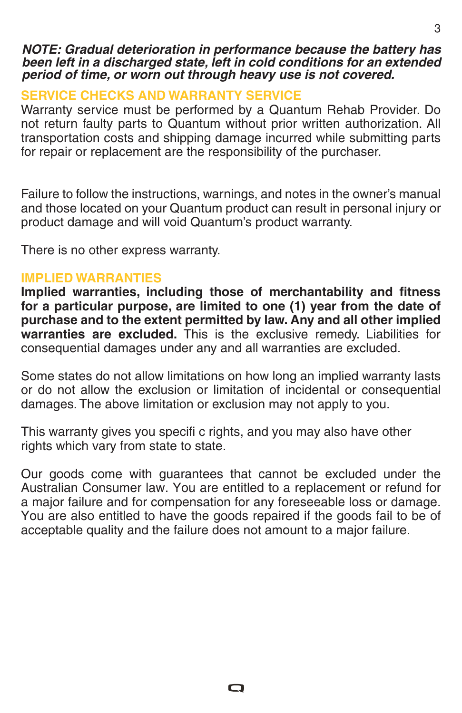#### *NOTE: Gradual deterioration in performance because the battery has been left in a discharged state, left in cold conditions for an extended period of time, or worn out through heavy use is not covered.*

# **SERVICE CHECKS AND WARRANTY SERVICE**

Warranty service must be performed by a Quantum Rehab Provider. Do not return faulty parts to Quantum without prior written authorization. All transportation costs and shipping damage incurred while submitting parts for repair or replacement are the responsibility of the purchaser.

Failure to follow the instructions, warnings, and notes in the owner's manual and those located on your Quantum product can result in personal injury or product damage and will void Quantum's product warranty.

There is no other express warranty.

## **IMPLIED WARRANTIES**

**Implied warranties, including those of merchantability and fitness for a particular purpose, are limited to one (1) year from the date of purchase and to the extent permitted by law. Any and all other implied warranties are excluded.** This is the exclusive remedy. Liabilities for consequential damages under any and all warranties are excluded.

Some states do not allow limitations on how long an implied warranty lasts or do not allow the exclusion or limitation of incidental or consequential damages. The above limitation or exclusion may not apply to you.

This warranty gives you specifi c rights, and you may also have other rights which vary from state to state.

Our goods come with guarantees that cannot be excluded under the Australian Consumer law. You are entitled to a replacement or refund for a major failure and for compensation for any foreseeable loss or damage. You are also entitled to have the goods repaired if the goods fail to be of acceptable quality and the failure does not amount to a major failure.

O